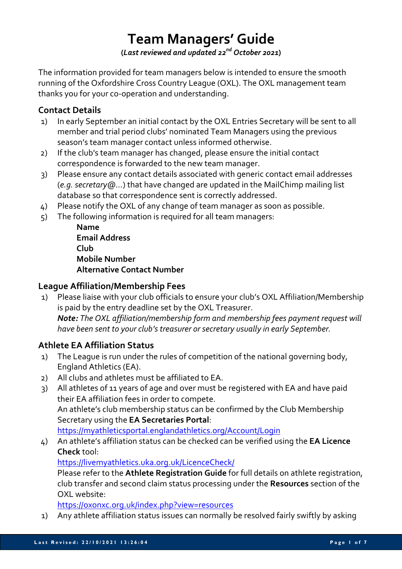# **Team Managers' Guide**

**(***Last reviewed and updated 22nd October 2021***)**

The information provided for team managers below is intended to ensure the smooth running of the Oxfordshire Cross Country League (OXL). The OXL management team thanks you for your co-operation and understanding.

#### **Contact Details**

- 1) In early September an initial contact by the OXL Entries Secretary will be sent to all member and trial period clubs' nominated Team Managers using the previous season's team manager contact unless informed otherwise.
- 2) If the club's team manager has changed, please ensure the initial contact correspondence is forwarded to the new team manager.
- 3) Please ensure any contact details associated with generic contact email addresses (*e.g. secretary@...*) that have changed are updated in the MailChimp mailing list database so that correspondence sent is correctly addressed.
- 4) Please notify the OXL of any change of team manager as soon as possible.
- 5) The following information is required for all team managers:

**Name Email Address Club Mobile Number Alternative Contact Number**

#### **League Affiliation/Membership Fees**

1) Please liaise with your club officials to ensure your club's OXL Affiliation/Membership is paid by the entry deadline set by the OXL Treasurer. *Note: The OXL affiliation/membership form and membership fees payment request will have been sent to your club's treasurer or secretary usually in early September.*

## **Athlete EA Affiliation Status**

- 1) The League is run under the rules of competition of the national governing body, England Athletics (EA).
- 2) All clubs and athletes must be affiliated to EA.
- 3) All athletes of 11 years of age and over must be registered with EA and have paid their EA affiliation fees in order to compete. An athlete's club membership status can be confirmed by the Club Membership Secretary using the **EA Secretaries Portal**: https://myathleticsportal.englandathletics.org/Account/Login
- 4) An athlete's affiliation status can be checked can be verified using the **EA Licence Check** tool:

https://livemyathletics.uka.org.uk/LicenceCheck/

Please refer to the **Athlete Registration Guide** for full details on athlete registration, club transfer and second claim status processing under the **Resources** section of the OXL website:

https://oxonxc.org.uk/index.php?view=resources

1) Any athlete affiliation status issues can normally be resolved fairly swiftly by asking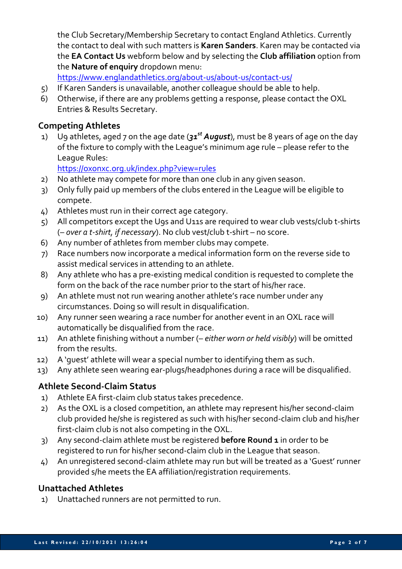the Club Secretary/Membership Secretary to contact England Athletics. Currently the contact to deal with such matters is **Karen Sanders**. Karen may be contacted via the **EA Contact Us** webform below and by selecting the **Club affiliation** option from the **Nature of enquiry** dropdown menu:

https://www.englandathletics.org/about-us/about-us/contact-us/

- 5) If Karen Sanders is unavailable, another colleague should be able to help.
- 6) Otherwise, if there are any problems getting a response, please contact the OXL Entries & Results Secretary.

## **Competing Athletes**

1) U9 athletes, aged 7 on the age date (*31st August*), must be 8 years of age on the day of the fixture to comply with the League's minimum age rule – please refer to the League Rules:

https://oxonxc.org.uk/index.php?view=rules

- 2) No athlete may compete for more than one club in any given season.
- 3) Only fully paid up members of the clubs entered in the League will be eligible to compete.
- 4) Athletes must run in their correct age category.
- 5) All competitors except the U9s and U11s are required to wear club vests/club t-shirts (– *over a t-shirt, if necessary*). No club vest/club t-shirt – no score.
- 6) Any number of athletes from member clubs may compete.
- 7) Race numbers now incorporate a medical information form on the reverse side to assist medical services in attending to an athlete.
- 8) Any athlete who has a pre-existing medical condition is requested to complete the form on the back of the race number prior to the start of his/her race.
- 9) An athlete must not run wearing another athlete's race number under any circumstances. Doing so will result in disqualification.
- 10) Any runner seen wearing a race number for another event in an OXL race will automatically be disqualified from the race.
- 11) An athlete finishing without a number (– *either worn or held visibly*) will be omitted from the results.
- 12) A 'guest' athlete will wear a special number to identifying them as such.
- 13) Any athlete seen wearing ear-plugs/headphones during a race will be disqualified.

## **Athlete Second-Claim Status**

- 1) Athlete EA first-claim club status takes precedence.
- 2) As the OXL is a closed competition, an athlete may represent his/her second-claim club provided he/she is registered as such with his/her second-claim club and his/her first-claim club is not also competing in the OXL.
- 3) Any second-claim athlete must be registered **before Round 1** in order to be registered to run for his/her second-claim club in the League that season.
- 4) An unregistered second-claim athlete may run but will be treated as a 'Guest' runner provided s/he meets the EA affiliation/registration requirements.

## **Unattached Athletes**

1) Unattached runners are not permitted to run.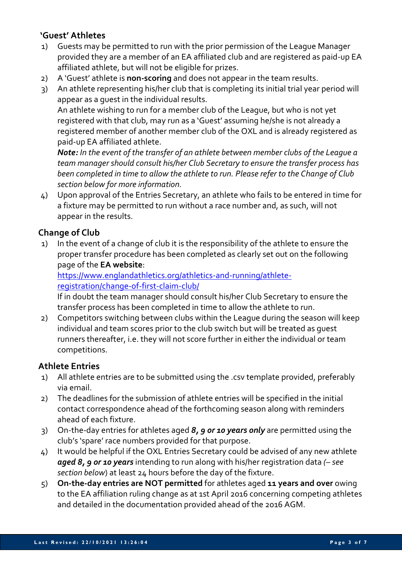## **'Guest' Athletes**

- 1) Guests may be permitted to run with the prior permission of the League Manager provided they are a member of an EA affiliated club and are registered as paid-up EA affiliated athlete, but will not be eligible for prizes.
- 2) A 'Guest' athlete is **non-scoring** and does not appear in the team results.
- 3) An athlete representing his/her club that is completing its initial trial year period will appear as a guest in the individual results.

An athlete wishing to run for a member club of the League, but who is not yet registered with that club, may run as a 'Guest' assuming he/she is not already a registered member of another member club of the OXL and is already registered as paid-up EA affiliated athlete.

*Note: In the event of the transfer of an athlete between member clubs of the League a team manager should consult his/her Club Secretary to ensure the transfer process has been completed in time to allow the athlete to run. Please refer to the Change of Club section below for more information.*

4) Upon approval of the Entries Secretary, an athlete who fails to be entered in time for a fixture may be permitted to run without a race number and, as such, will not appear in the results.

# **Change of Club**

1) In the event of a change of club it is the responsibility of the athlete to ensure the proper transfer procedure has been completed as clearly set out on the following page of the **EA website**:

https://www.englandathletics.org/athletics-and-running/athleteregistration/change-of-first-claim-club/

If in doubt the team manager should consult his/her Club Secretary to ensure the transfer process has been completed in time to allow the athlete to run.

2) Competitors switching between clubs within the League during the season will keep individual and team scores prior to the club switch but will be treated as guest runners thereafter, i.e. they will not score further in either the individual or team competitions.

## **Athlete Entries**

- 1) All athlete entries are to be submitted using the .csv template provided, preferably via email.
- 2) The deadlines for the submission of athlete entries will be specified in the initial contact correspondence ahead of the forthcoming season along with reminders ahead of each fixture.
- 3) On-the-day entries for athletes aged *8, 9 or 10 years only* are permitted using the club's 'spare' race numbers provided for that purpose.
- 4) It would be helpful if the OXL Entries Secretary could be advised of any new athlete *aged 8, 9 or 10 years* intending to run along with his/her registration data *(– see section below*) at least 24 hours before the day of the fixture.
- 5) **On-the-day entries are NOT permitted** for athletes aged **11 years and over** owing to the EA affiliation ruling change as at 1st April 2016 concerning competing athletes and detailed in the documentation provided ahead of the 2016 AGM.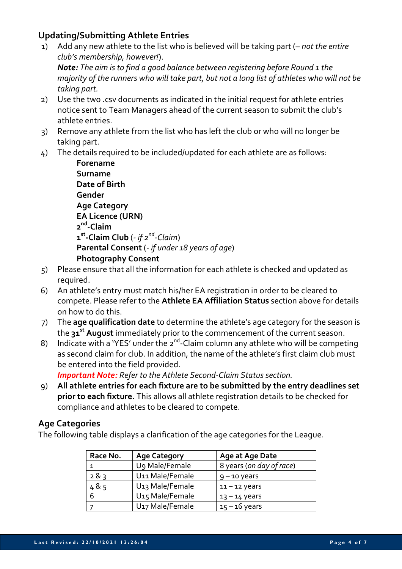## **Updating/Submitting Athlete Entries**

*taking part.*

1) Add any new athlete to the list who is believed will be taking part (*– not the entire club's membership, however!*). *Note: The aim is to find a good balance between registering before Round 1 the majority of the runners who will take part, but not a long list of athletes who will not be* 

2) Use the two .csv documents as indicated in the initial request for athlete entries notice sent to Team Managers ahead of the current season to submit the club's athlete entries.

- 3) Remove any athlete from the list who has left the club or who will no longer be taking part.
- 4) The details required to be included/updated for each athlete are as follows:

**Forename Surname Date of Birth Gender Age Category EA Licence (URN) 2nd-Claim 1st-Claim Club** (*- if 2nd-Claim*) **Parental Consent** (*- if under 18 years of age*) **Photography Consent**

- 5) Please ensure that all the information for each athlete is checked and updated as required.
- 6) An athlete's entry must match his/her EA registration in order to be cleared to compete. Please refer to the **Athlete EA Affiliation Status** section above for details on how to do this.
- 7) The **age qualification date** to determine the athlete's age category for the season is the **31st August** immediately prior to the commencement of the current season.
- 8) Indicate with a 'YES' under the  $2^{nd}$ -Claim column any athlete who will be competing as second claim for club. In addition, the name of the athlete's first claim club must be entered into the field provided.

*Important Note: Refer to the Athlete Second-Claim Status section.*

9) **All athlete entries for each fixture are to be submitted by the entry deadlines set prior to each fixture.** This allows all athlete registration details to be checked for compliance and athletes to be cleared to compete.

#### **Age Categories**

The following table displays a clarification of the age categories for the League.

| Race No. | <b>Age Category</b>         | Age at Age Date          |  |
|----------|-----------------------------|--------------------------|--|
|          | U9 Male/Female              | 8 years (on day of race) |  |
| 283      | U11 Male/Female             | $9 - 10$ years           |  |
| 485      | U <sub>13</sub> Male/Female | $11 - 12$ years          |  |
| 6        | U <sub>15</sub> Male/Female | $13 - 14$ years          |  |
|          | U <sub>17</sub> Male/Female | $15 - 16$ years          |  |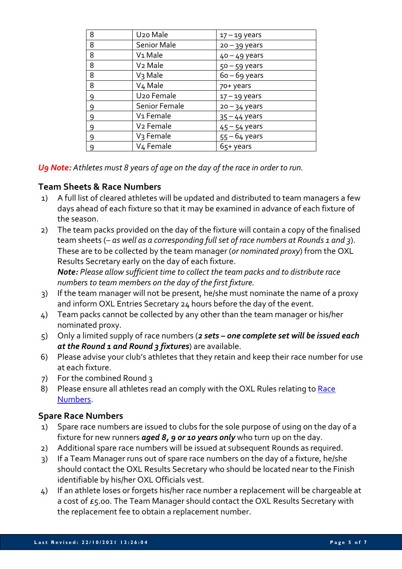| 8 | U <sub>20</sub> Male   | $17 - 19$ years |
|---|------------------------|-----------------|
| 8 | <b>Senior Male</b>     | $20 - 39$ years |
| 8 | V <sub>1</sub> Male    | $40 - 49$ years |
| 8 | V <sub>2</sub> Male    | $50 - 59$ years |
| 8 | V <sub>3</sub> Male    | $60 - 69$ years |
| 8 | V <sub>4</sub> Male    | 70+ years       |
| 9 | U <sub>20</sub> Female | $17 - 19$ years |
| 9 | Senior Female          | $20 - 34$ years |
| 9 | V <sub>1</sub> Female  | $35 - 44$ years |
| 9 | V <sub>2</sub> Female  | $45 - 54$ years |
| 9 | V <sub>3</sub> Female  | $55 - 64$ years |
| 9 | V <sub>4</sub> Female  | 65+ years       |

*U9 Note: Athletes must 8 years of age on the day of the race in order to run.*

## **Team Sheets & Race Numbers**

- 1) A full list of cleared athletes will be updated and distributed to team managers a few days ahead of each fixture so that it may be examined in advance of each fixture of the season.
- 2) The team packs provided on the day of the fixture will contain a copy of the finalised team sheets (*– as well as a corresponding full set of race numbers at Rounds 1 and 3*). These are to be collected by the team manager (*or nominated proxy*) from the OXL Results Secretary early on the day of each fixture.

*Note: Please allow sufficient time to collect the team packs and to distribute race numbers to team members on the day of the first fixture.* 

- 3) If the team manager will not be present, he/she must nominate the name of a proxy and inform OXL Entries Secretary 24 hours before the day of the event.
- 4) Team packs cannot be collected by any other than the team manager or his/her nominated proxy.
- 5) Only a limited supply of race numbers (*2 sets – one complete set will be issued each at the Round 1 and Round 3 fixtures*) are available.
- 6) Please advise your club's athletes that they retain and keep their race number for use at each fixture.
- 7) For the combined Round 3
- 8) Please ensure all athletes read an comply with the OXL Rules relating to Race Numbers.

## **Spare Race Numbers**

- 1) Spare race numbers are issued to clubs for the sole purpose of using on the day of a fixture for new runners *aged 8, 9 or 10 years only* who turn up on the day.
- 2) Additional spare race numbers will be issued at subsequent Rounds as required.
- 3) If a Team Manager runs out of spare race numbers on the day of a fixture, he/she should contact the OXL Results Secretary who should be located near to the Finish identifiable by his/her OXL Officials vest.
- 4) If an athlete loses or forgets his/her race number a replacement will be chargeable at a cost of  $E_5.00$ . The Team Manager should contact the OXL Results Secretary with the replacement fee to obtain a replacement number.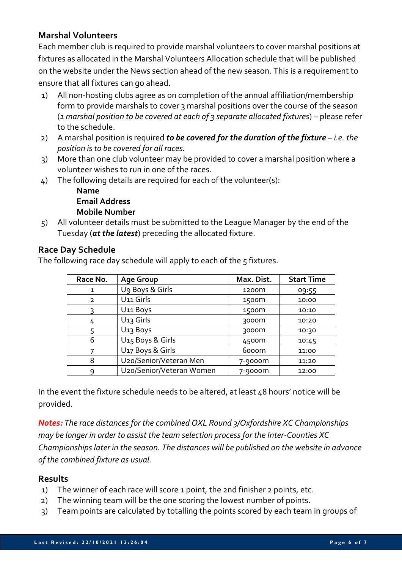# **Marshal Volunteers**

Each member club is required to provide marshal volunteers to cover marshal positions at fixtures as allocated in the Marshal Volunteers Allocation schedule that will be published on the website under the News section ahead of the new season. This is a requirement to ensure that all fixtures can go ahead.

- 1) All non-hosting clubs agree as on completion of the annual affiliation/membership form to provide marshals to cover 3 marshal positions over the course of the season (*1 marshal position to be covered at each of 3 separate allocated fixtures*) – please refer to the schedule.
- 2) A marshal position is required *to be covered for the duration of the fixture i.e. the position is to be covered for all races.*
- 3) More than one club volunteer may be provided to cover a marshal position where a volunteer wishes to run in one of the races.
- 4) The following details are required for each of the volunteer(s):

#### **Name Email Address Mobile Number**

5) All volunteer details must be submitted to the League Manager by the end of the Tuesday (*at the latest*) preceding the allocated fixture.

## **Race Day Schedule**

The following race day schedule will apply to each of the 5 fixtures.

| Race No.       | <b>Age Group</b>             | Max. Dist.        | <b>Start Time</b> |
|----------------|------------------------------|-------------------|-------------------|
| 1              | Ug Boys & Girls              | 1200 <sub>m</sub> | 09:55             |
| $\overline{2}$ | U <sub>11</sub> Girls        | 1500m             | 10:00             |
| 3              | U11 Boys                     | 1500m             | 10:10             |
| 4              | U <sub>13</sub> Girls        | 3000m             | 10:20             |
|                | U <sub>13</sub> Boys         | 3000m             | 10:30             |
| 6              | U <sub>15</sub> Boys & Girls | 4500m             | 10:45             |
|                | U <sub>17</sub> Boys & Girls | 6000m             | 11:00             |
| 8              | U20/Senior/Veteran Men       | 7-9000m           | 11:20             |
| ٩              | U20/Senior/Veteran Women     | 7-9000m           | 12:00             |

In the event the fixture schedule needs to be altered, at least 48 hours' notice will be provided.

*Notes: The race distances for the combined OXL Round 3/Oxfordshire XC Championships may be longer in order to assist the team selection process for the Inter-Counties XC Championships later in the season. The distances will be published on the website in advance of the combined fixture as usual.*

#### **Results**

- 1) The winner of each race will score 1 point, the 2nd finisher 2 points, etc.
- 2) The winning team will be the one scoring the lowest number of points.
- 3) Team points are calculated by totalling the points scored by each team in groups of